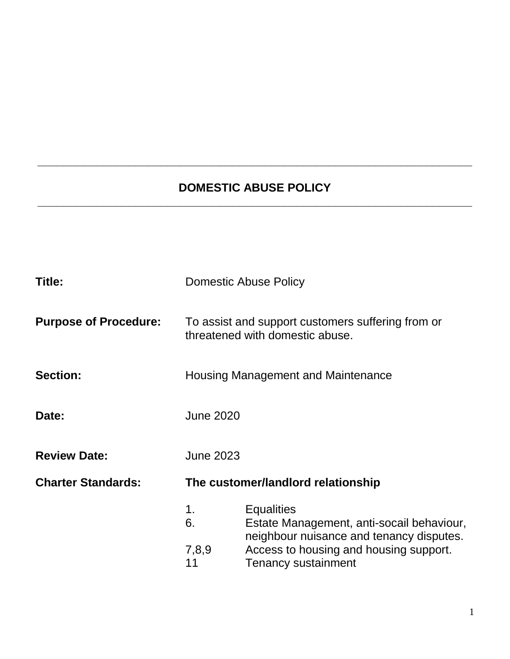# **DOMESTIC ABUSE POLICY \_\_\_\_\_\_\_\_\_\_\_\_\_\_\_\_\_\_\_\_\_\_\_\_\_\_\_\_\_\_\_\_\_\_\_\_\_\_\_\_\_\_\_\_\_\_\_\_\_\_\_\_\_\_\_\_\_\_\_\_\_\_\_\_\_\_\_**

**\_\_\_\_\_\_\_\_\_\_\_\_\_\_\_\_\_\_\_\_\_\_\_\_\_\_\_\_\_\_\_\_\_\_\_\_\_\_\_\_\_\_\_\_\_\_\_\_\_\_\_\_\_\_\_\_\_\_\_\_\_\_\_\_\_\_\_**

| Title:                       | <b>Domestic Abuse Policy</b>                                                         |                                                                                                            |
|------------------------------|--------------------------------------------------------------------------------------|------------------------------------------------------------------------------------------------------------|
| <b>Purpose of Procedure:</b> | To assist and support customers suffering from or<br>threatened with domestic abuse. |                                                                                                            |
| <b>Section:</b>              | Housing Management and Maintenance                                                   |                                                                                                            |
| Date:                        | <b>June 2020</b>                                                                     |                                                                                                            |
| <b>Review Date:</b>          | <b>June 2023</b>                                                                     |                                                                                                            |
| <b>Charter Standards:</b>    | The customer/landlord relationship                                                   |                                                                                                            |
|                              | 1.<br>6.                                                                             | <b>Equalities</b><br>Estate Management, anti-socail behaviour,<br>neighbour nuisance and tenancy disputes. |
|                              | 7,8,9<br>11                                                                          | Access to housing and housing support.<br><b>Tenancy sustainment</b>                                       |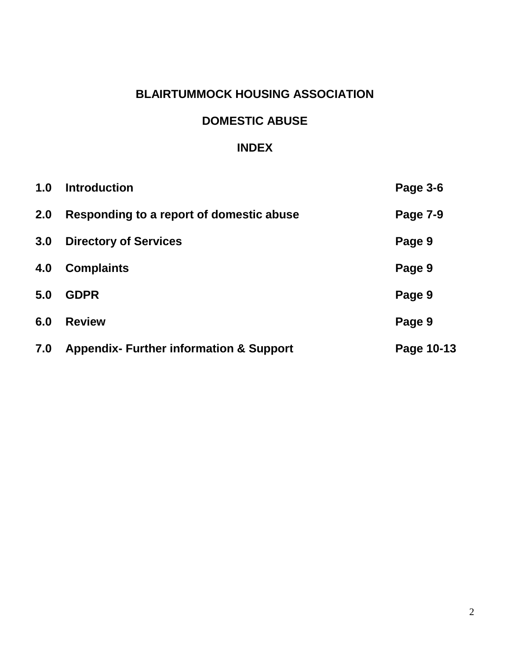# **BLAIRTUMMOCK HOUSING ASSOCIATION**

### **DOMESTIC ABUSE**

#### **INDEX**

| 1.0 | <b>Introduction</b>                                | Page 3-6        |
|-----|----------------------------------------------------|-----------------|
| 2.0 | Responding to a report of domestic abuse           | <b>Page 7-9</b> |
| 3.0 | <b>Directory of Services</b>                       | Page 9          |
| 4.0 | <b>Complaints</b>                                  | Page 9          |
| 5.0 | <b>GDPR</b>                                        | Page 9          |
| 6.0 | <b>Review</b>                                      | Page 9          |
| 7.0 | <b>Appendix- Further information &amp; Support</b> | Page 10-13      |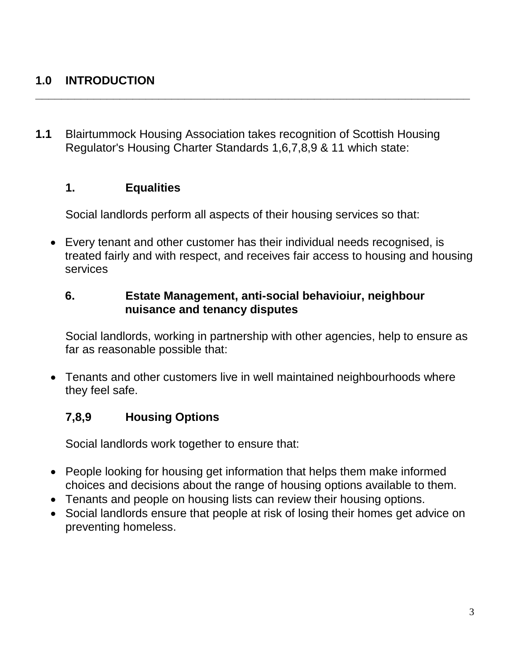# **1.0 INTRODUCTION**

**1.1** Blairtummock Housing Association takes recognition of Scottish Housing Regulator's Housing Charter Standards 1,6,7,8,9 & 11 which state:

**\_\_\_\_\_\_\_\_\_\_\_\_\_\_\_\_\_\_\_\_\_\_\_\_\_\_\_\_\_\_\_\_\_\_\_\_\_\_\_\_\_\_\_\_\_\_\_\_\_\_\_\_\_\_\_\_\_\_\_\_\_\_\_\_\_\_\_**

#### **1. Equalities**

Social landlords perform all aspects of their housing services so that:

 Every tenant and other customer has their individual needs recognised, is treated fairly and with respect, and receives fair access to housing and housing services

#### **6. Estate Management, anti-social behavioiur, neighbour nuisance and tenancy disputes**

Social landlords, working in partnership with other agencies, help to ensure as far as reasonable possible that:

 Tenants and other customers live in well maintained neighbourhoods where they feel safe.

# **7,8,9 Housing Options**

Social landlords work together to ensure that:

- People looking for housing get information that helps them make informed choices and decisions about the range of housing options available to them.
- Tenants and people on housing lists can review their housing options.
- Social landlords ensure that people at risk of losing their homes get advice on preventing homeless.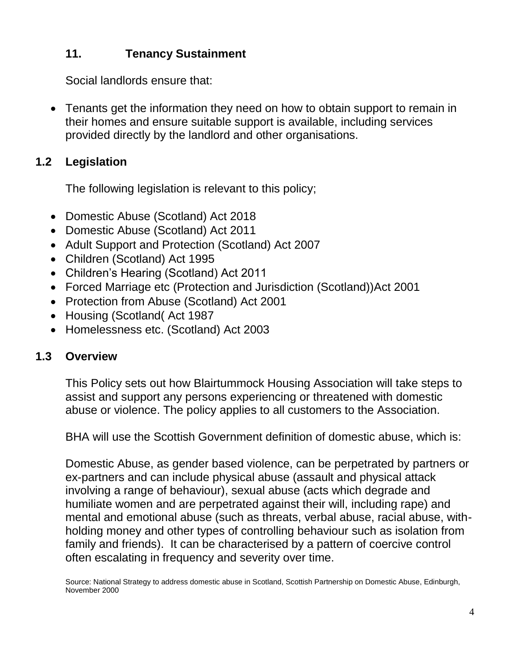# **11. Tenancy Sustainment**

Social landlords ensure that:

 Tenants get the information they need on how to obtain support to remain in their homes and ensure suitable support is available, including services provided directly by the landlord and other organisations.

# **1.2 Legislation**

The following legislation is relevant to this policy;

- Domestic Abuse (Scotland) Act 2018
- Domestic Abuse (Scotland) Act 2011
- Adult Support and Protection (Scotland) Act 2007
- Children (Scotland) Act 1995
- Children's Hearing (Scotland) Act 2011
- Forced Marriage etc (Protection and Jurisdiction (Scotland)) Act 2001
- Protection from Abuse (Scotland) Act 2001
- Housing (Scotland) Act 1987
- Homelessness etc. (Scotland) Act 2003

# **1.3 Overview**

This Policy sets out how Blairtummock Housing Association will take steps to assist and support any persons experiencing or threatened with domestic abuse or violence. The policy applies to all customers to the Association.

BHA will use the Scottish Government definition of domestic abuse, which is:

Domestic Abuse, as gender based violence, can be perpetrated by partners or ex-partners and can include physical abuse (assault and physical attack involving a range of behaviour), sexual abuse (acts which degrade and humiliate women and are perpetrated against their will, including rape) and mental and emotional abuse (such as threats, verbal abuse, racial abuse, withholding money and other types of controlling behaviour such as isolation from family and friends). It can be characterised by a pattern of coercive control often escalating in frequency and severity over time.

Source: National Strategy to address domestic abuse in Scotland, Scottish Partnership on Domestic Abuse, Edinburgh, November 2000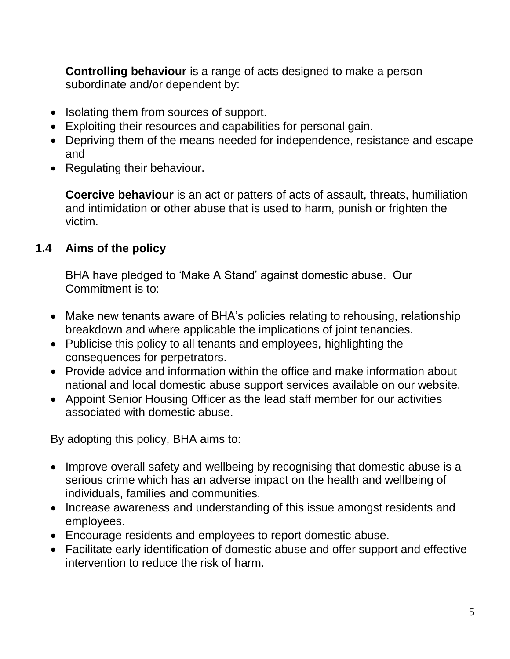**Controlling behaviour** is a range of acts designed to make a person subordinate and/or dependent by:

- Isolating them from sources of support.
- Exploiting their resources and capabilities for personal gain.
- Depriving them of the means needed for independence, resistance and escape and
- Regulating their behaviour.

**Coercive behaviour** is an act or patters of acts of assault, threats, humiliation and intimidation or other abuse that is used to harm, punish or frighten the victim.

# **1.4 Aims of the policy**

BHA have pledged to 'Make A Stand' against domestic abuse. Our Commitment is to:

- Make new tenants aware of BHA's policies relating to rehousing, relationship breakdown and where applicable the implications of joint tenancies.
- Publicise this policy to all tenants and employees, highlighting the consequences for perpetrators.
- Provide advice and information within the office and make information about national and local domestic abuse support services available on our website.
- Appoint Senior Housing Officer as the lead staff member for our activities associated with domestic abuse.

By adopting this policy, BHA aims to:

- Improve overall safety and wellbeing by recognising that domestic abuse is a serious crime which has an adverse impact on the health and wellbeing of individuals, families and communities.
- Increase awareness and understanding of this issue amongst residents and employees.
- Encourage residents and employees to report domestic abuse.
- Facilitate early identification of domestic abuse and offer support and effective intervention to reduce the risk of harm.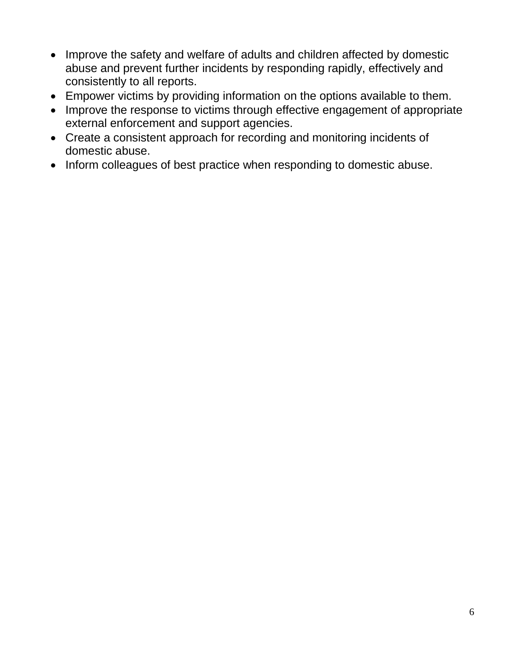- Improve the safety and welfare of adults and children affected by domestic abuse and prevent further incidents by responding rapidly, effectively and consistently to all reports.
- Empower victims by providing information on the options available to them.
- Improve the response to victims through effective engagement of appropriate external enforcement and support agencies.
- Create a consistent approach for recording and monitoring incidents of domestic abuse.
- Inform colleagues of best practice when responding to domestic abuse.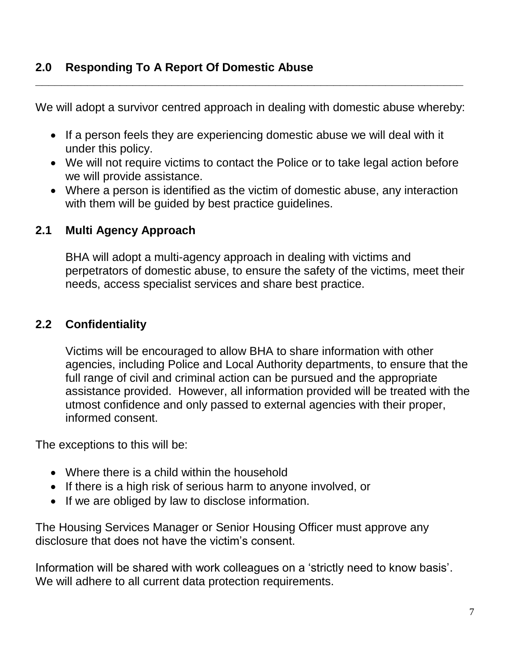We will adopt a survivor centred approach in dealing with domestic abuse whereby:

**\_\_\_\_\_\_\_\_\_\_\_\_\_\_\_\_\_\_\_\_\_\_\_\_\_\_\_\_\_\_\_\_\_\_\_\_\_\_\_\_\_\_\_\_\_\_\_\_\_\_\_\_\_\_\_\_\_\_\_\_\_\_\_\_\_\_**

- If a person feels they are experiencing domestic abuse we will deal with it under this policy.
- We will not require victims to contact the Police or to take legal action before we will provide assistance.
- Where a person is identified as the victim of domestic abuse, any interaction with them will be guided by best practice guidelines.

# **2.1 Multi Agency Approach**

BHA will adopt a multi-agency approach in dealing with victims and perpetrators of domestic abuse, to ensure the safety of the victims, meet their needs, access specialist services and share best practice.

# **2.2 Confidentiality**

Victims will be encouraged to allow BHA to share information with other agencies, including Police and Local Authority departments, to ensure that the full range of civil and criminal action can be pursued and the appropriate assistance provided. However, all information provided will be treated with the utmost confidence and only passed to external agencies with their proper, informed consent.

The exceptions to this will be:

- Where there is a child within the household
- If there is a high risk of serious harm to anyone involved, or
- If we are obliged by law to disclose information.

The Housing Services Manager or Senior Housing Officer must approve any disclosure that does not have the victim's consent.

Information will be shared with work colleagues on a 'strictly need to know basis'. We will adhere to all current data protection requirements.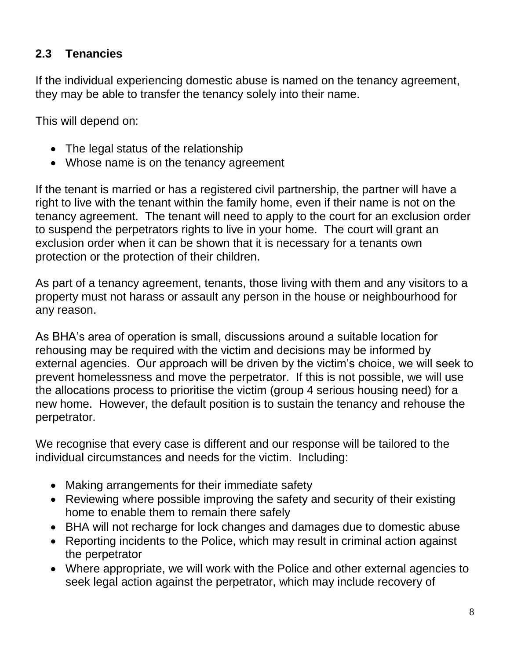# **2.3 Tenancies**

If the individual experiencing domestic abuse is named on the tenancy agreement, they may be able to transfer the tenancy solely into their name.

This will depend on:

- The legal status of the relationship
- Whose name is on the tenancy agreement

If the tenant is married or has a registered civil partnership, the partner will have a right to live with the tenant within the family home, even if their name is not on the tenancy agreement. The tenant will need to apply to the court for an exclusion order to suspend the perpetrators rights to live in your home. The court will grant an exclusion order when it can be shown that it is necessary for a tenants own protection or the protection of their children.

As part of a tenancy agreement, tenants, those living with them and any visitors to a property must not harass or assault any person in the house or neighbourhood for any reason.

As BHA's area of operation is small, discussions around a suitable location for rehousing may be required with the victim and decisions may be informed by external agencies. Our approach will be driven by the victim's choice, we will seek to prevent homelessness and move the perpetrator. If this is not possible, we will use the allocations process to prioritise the victim (group 4 serious housing need) for a new home. However, the default position is to sustain the tenancy and rehouse the perpetrator.

We recognise that every case is different and our response will be tailored to the individual circumstances and needs for the victim. Including:

- Making arrangements for their immediate safety
- Reviewing where possible improving the safety and security of their existing home to enable them to remain there safely
- BHA will not recharge for lock changes and damages due to domestic abuse
- Reporting incidents to the Police, which may result in criminal action against the perpetrator
- Where appropriate, we will work with the Police and other external agencies to seek legal action against the perpetrator, which may include recovery of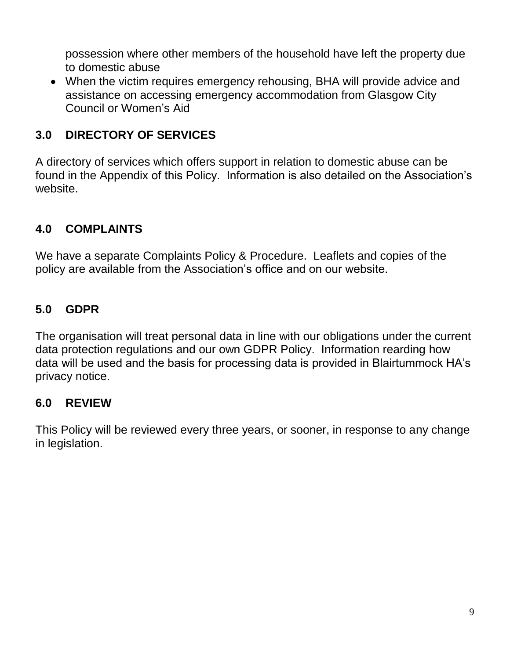possession where other members of the household have left the property due to domestic abuse

 When the victim requires emergency rehousing, BHA will provide advice and assistance on accessing emergency accommodation from Glasgow City Council or Women's Aid

# **3.0 DIRECTORY OF SERVICES**

A directory of services which offers support in relation to domestic abuse can be found in the Appendix of this Policy. Information is also detailed on the Association's website.

### **4.0 COMPLAINTS**

We have a separate Complaints Policy & Procedure. Leaflets and copies of the policy are available from the Association's office and on our website.

### **5.0 GDPR**

The organisation will treat personal data in line with our obligations under the current data protection regulations and our own GDPR Policy. Information rearding how data will be used and the basis for processing data is provided in Blairtummock HA's privacy notice.

#### **6.0 REVIEW**

This Policy will be reviewed every three years, or sooner, in response to any change in legislation.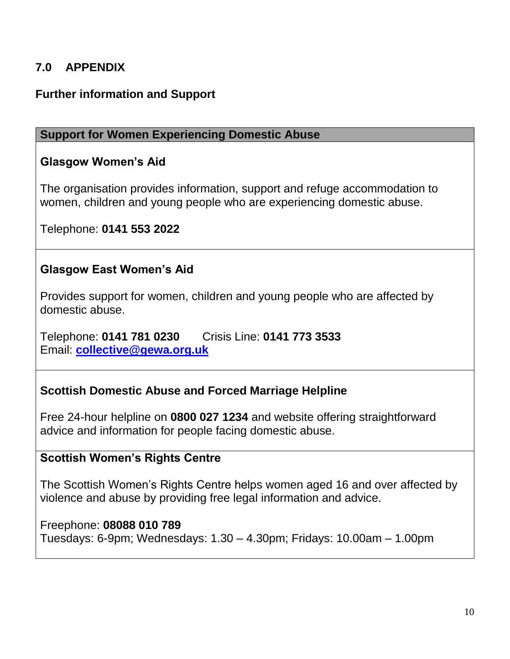# **7.0 APPENDIX**

#### **Further information and Support**

#### **Support for Women Experiencing Domestic Abuse**

#### **Glasgow Women's Aid**

The organisation provides information, support and refuge accommodation to women, children and young people who are experiencing domestic abuse.

Telephone: **0141 553 2022**

### **Glasgow East Women's Aid**

Provides support for women, children and young people who are affected by domestic abuse.

Telephone: **0141 781 0230** Crisis Line: **0141 773 3533** Email: **[collective@gewa.org.uk](mailto:collective@gewa.org.uk)**

#### **Scottish Domestic Abuse and Forced Marriage Helpline**

Free 24-hour helpline on **0800 027 1234** and website offering straightforward advice and information for people facing domestic abuse.

#### **Scottish Women's Rights Centre**

The Scottish Women's Rights Centre helps women aged 16 and over affected by violence and abuse by providing free legal information and advice.

#### Freephone: **08088 010 789**

Tuesdays: 6-9pm; Wednesdays: 1.30 – 4.30pm; Fridays: 10.00am – 1.00pm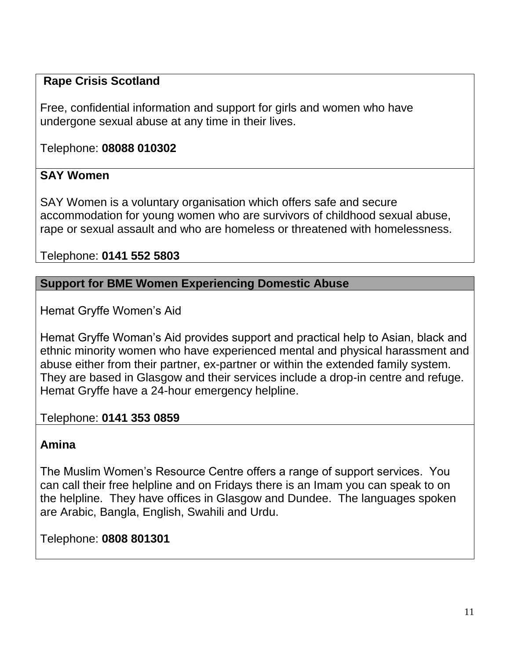# **Rape Crisis Scotland**

Free, confidential information and support for girls and women who have undergone sexual abuse at any time in their lives.

Telephone: **08088 010302**

# **SAY Women**

SAY Women is a voluntary organisation which offers safe and secure accommodation for young women who are survivors of childhood sexual abuse, rape or sexual assault and who are homeless or threatened with homelessness.

Telephone: **0141 552 5803**

#### **Support for BME Women Experiencing Domestic Abuse**

Hemat Gryffe Women's Aid

Hemat Gryffe Woman's Aid provides support and practical help to Asian, black and ethnic minority women who have experienced mental and physical harassment and abuse either from their partner, ex-partner or within the extended family system. They are based in Glasgow and their services include a drop-in centre and refuge. Hemat Gryffe have a 24-hour emergency helpline.

#### Telephone: **0141 353 0859**

#### **Amina**

The Muslim Women's Resource Centre offers a range of support services. You can call their free helpline and on Fridays there is an Imam you can speak to on the helpline. They have offices in Glasgow and Dundee. The languages spoken are Arabic, Bangla, English, Swahili and Urdu.

Telephone: **0808 801301**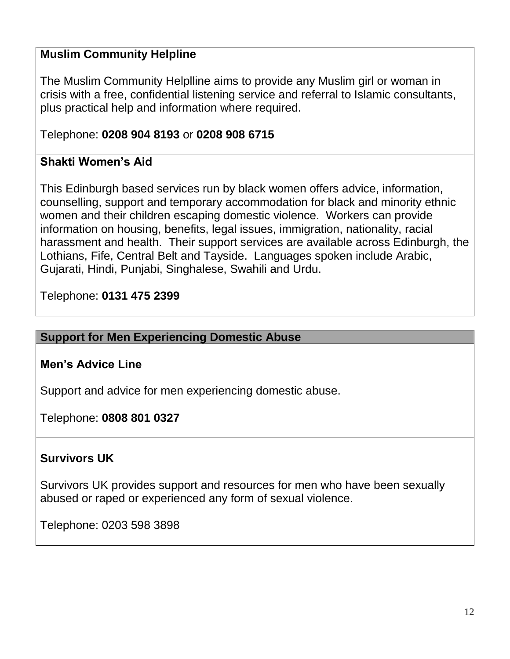# **Muslim Community Helpline**

The Muslim Community Helplline aims to provide any Muslim girl or woman in crisis with a free, confidential listening service and referral to Islamic consultants, plus practical help and information where required.

# Telephone: **0208 904 8193** or **0208 908 6715**

# **Shakti Women's Aid**

This Edinburgh based services run by black women offers advice, information, counselling, support and temporary accommodation for black and minority ethnic women and their children escaping domestic violence. Workers can provide information on housing, benefits, legal issues, immigration, nationality, racial harassment and health. Their support services are available across Edinburgh, the Lothians, Fife, Central Belt and Tayside. Languages spoken include Arabic, Gujarati, Hindi, Punjabi, Singhalese, Swahili and Urdu.

### Telephone: **0131 475 2399**

#### **Support for Men Experiencing Domestic Abuse**

# **Men's Advice Line**

Support and advice for men experiencing domestic abuse.

Telephone: **0808 801 0327**

#### **Survivors UK**

Survivors UK provides support and resources for men who have been sexually abused or raped or experienced any form of sexual violence.

Telephone: 0203 598 3898